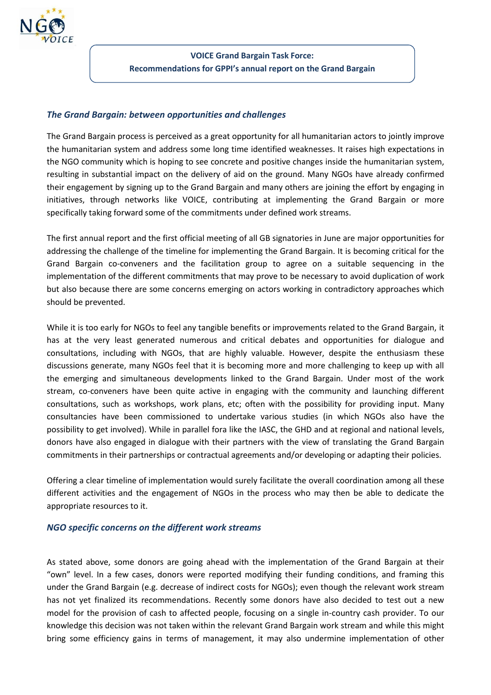

**VOICE Grand Bargain Task Force: Recommendations for GPPI's annual report on the Grand Bargain**

## *The Grand Bargain: between opportunities and challenges*

The Grand Bargain process is perceived as a great opportunity for all humanitarian actors to jointly improve the humanitarian system and address some long time identified weaknesses. It raises high expectations in the NGO community which is hoping to see concrete and positive changes inside the humanitarian system, resulting in substantial impact on the delivery of aid on the ground. Many NGOs have already confirmed their engagement by signing up to the Grand Bargain and many others are joining the effort by engaging in initiatives, through networks like VOICE, contributing at implementing the Grand Bargain or more specifically taking forward some of the commitments under defined work streams.

The first annual report and the first official meeting of all GB signatories in June are major opportunities for addressing the challenge of the timeline for implementing the Grand Bargain. It is becoming critical for the Grand Bargain co-conveners and the facilitation group to agree on a suitable sequencing in the implementation of the different commitments that may prove to be necessary to avoid duplication of work but also because there are some concerns emerging on actors working in contradictory approaches which should be prevented.

While it is too early for NGOs to feel any tangible benefits or improvements related to the Grand Bargain, it has at the very least generated numerous and critical debates and opportunities for dialogue and consultations, including with NGOs, that are highly valuable. However, despite the enthusiasm these discussions generate, many NGOs feel that it is becoming more and more challenging to keep up with all the emerging and simultaneous developments linked to the Grand Bargain. Under most of the work stream, co-conveners have been quite active in engaging with the community and launching different consultations, such as workshops, work plans, etc; often with the possibility for providing input. Many consultancies have been commissioned to undertake various studies (in which NGOs also have the possibility to get involved). While in parallel fora like the IASC, the GHD and at regional and national levels, donors have also engaged in dialogue with their partners with the view of translating the Grand Bargain commitments in their partnerships or contractual agreements and/or developing or adapting their policies.

Offering a clear timeline of implementation would surely facilitate the overall coordination among all these different activities and the engagement of NGOs in the process who may then be able to dedicate the appropriate resources to it.

## *NGO specific concerns on the different work streams*

As stated above, some donors are going ahead with the implementation of the Grand Bargain at their "own" level. In a few cases, donors were reported modifying their funding conditions, and framing this under the Grand Bargain (e.g. decrease of indirect costs for NGOs); even though the relevant work stream has not yet finalized its recommendations. Recently some donors have also decided to test out a new model for the provision of cash to affected people, focusing on a single in-country cash provider. To our knowledge this decision was not taken within the relevant Grand Bargain work stream and while this might bring some efficiency gains in terms of management, it may also undermine implementation of other